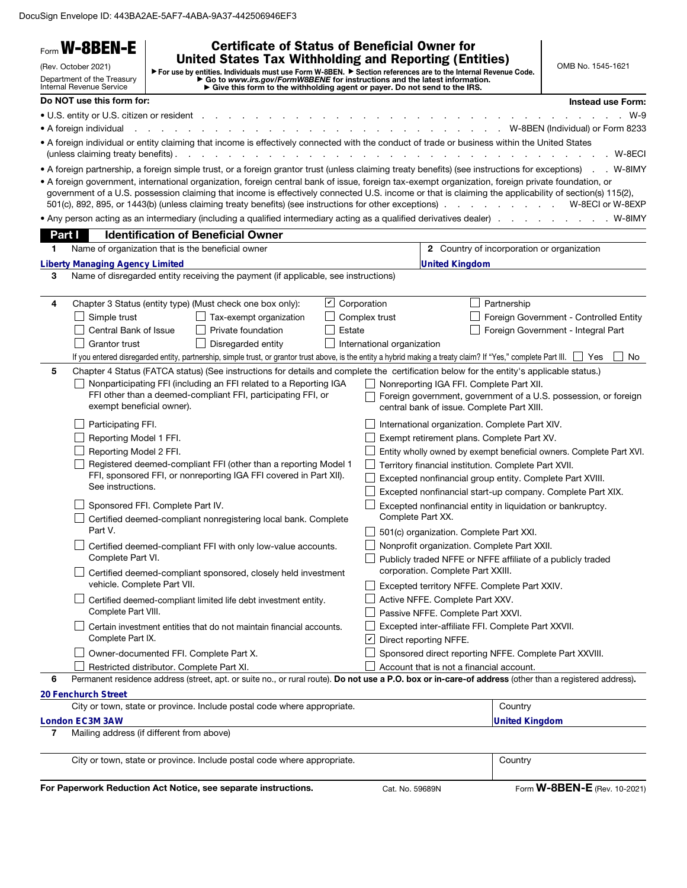DocuSign Envelope ID: 443BA2AE-5AF7-4ABA-9A37-442506946EF3

|                                                                                                                                                                                                                                                                                                                                                | <b>W-8BEN-E</b>                                                                                                                                                                      | <b>Certificate of Status of Beneficial Owner for</b>                                                                                                                                                                                                                                                                                                                                                                   |                    |                                                                                                                                                           |                                                   |                                                                     |
|------------------------------------------------------------------------------------------------------------------------------------------------------------------------------------------------------------------------------------------------------------------------------------------------------------------------------------------------|--------------------------------------------------------------------------------------------------------------------------------------------------------------------------------------|------------------------------------------------------------------------------------------------------------------------------------------------------------------------------------------------------------------------------------------------------------------------------------------------------------------------------------------------------------------------------------------------------------------------|--------------------|-----------------------------------------------------------------------------------------------------------------------------------------------------------|---------------------------------------------------|---------------------------------------------------------------------|
|                                                                                                                                                                                                                                                                                                                                                | (Rev. October 2021)                                                                                                                                                                  | <b>United States Tax Withholding and Reporting (Entities)</b>                                                                                                                                                                                                                                                                                                                                                          |                    |                                                                                                                                                           |                                                   | OMB No. 1545-1621                                                   |
| ▶ For use by entities. Individuals must use Form W-8BEN. ▶ Section references are to the Internal Revenue Code.<br>Department of the Treasury<br>► Go to www.irs.gov/FormW8BENE for instructions and the latest information.<br>► Give this form to the withholding agent or payer. Do not send to the IRS.<br><b>Internal Revenue Service</b> |                                                                                                                                                                                      |                                                                                                                                                                                                                                                                                                                                                                                                                        |                    |                                                                                                                                                           |                                                   |                                                                     |
|                                                                                                                                                                                                                                                                                                                                                | Do NOT use this form for:                                                                                                                                                            |                                                                                                                                                                                                                                                                                                                                                                                                                        |                    |                                                                                                                                                           |                                                   | Instead use Form:                                                   |
|                                                                                                                                                                                                                                                                                                                                                | • U.S. entity or U.S. citizen or resident                                                                                                                                            |                                                                                                                                                                                                                                                                                                                                                                                                                        |                    |                                                                                                                                                           |                                                   | $W-9$                                                               |
|                                                                                                                                                                                                                                                                                                                                                | • A foreign individual                                                                                                                                                               |                                                                                                                                                                                                                                                                                                                                                                                                                        |                    |                                                                                                                                                           | $\sim$ $\sim$                                     | W-8BEN (Individual) or Form 8233                                    |
|                                                                                                                                                                                                                                                                                                                                                | (unless claiming treaty benefits).                                                                                                                                                   | . A foreign individual or entity claiming that income is effectively connected with the conduct of trade or business within the United States<br><u>.</u>                                                                                                                                                                                                                                                              |                    |                                                                                                                                                           |                                                   | . W-8ECI                                                            |
|                                                                                                                                                                                                                                                                                                                                                |                                                                                                                                                                                      | • A foreign partnership, a foreign simple trust, or a foreign grantor trust (unless claiming treaty benefits) (see instructions for exceptions) . W-8IMY                                                                                                                                                                                                                                                               |                    |                                                                                                                                                           |                                                   |                                                                     |
|                                                                                                                                                                                                                                                                                                                                                |                                                                                                                                                                                      | • A foreign government, international organization, foreign central bank of issue, foreign tax-exempt organization, foreign private foundation, or<br>government of a U.S. possession claiming that income is effectively connected U.S. income or that is claiming the applicability of section(s) 115(2),<br>501(c), 892, 895, or 1443(b) (unless claiming treaty benefits) (see instructions for other exceptions). |                    |                                                                                                                                                           | the contract of the contract of the               | W-8ECI or W-8EXP                                                    |
|                                                                                                                                                                                                                                                                                                                                                |                                                                                                                                                                                      | • Any person acting as an intermediary (including a qualified intermediary acting as a qualified derivatives dealer)                                                                                                                                                                                                                                                                                                   |                    |                                                                                                                                                           |                                                   | . W-8IMY                                                            |
| Part I                                                                                                                                                                                                                                                                                                                                         |                                                                                                                                                                                      | <b>Identification of Beneficial Owner</b>                                                                                                                                                                                                                                                                                                                                                                              |                    |                                                                                                                                                           |                                                   |                                                                     |
| 1.                                                                                                                                                                                                                                                                                                                                             |                                                                                                                                                                                      | Name of organization that is the beneficial owner                                                                                                                                                                                                                                                                                                                                                                      |                    |                                                                                                                                                           | <b>2</b> Country of incorporation or organization |                                                                     |
|                                                                                                                                                                                                                                                                                                                                                | <b>Liberty Managing Agency Limited</b>                                                                                                                                               |                                                                                                                                                                                                                                                                                                                                                                                                                        |                    | <b>United Kingdom</b>                                                                                                                                     |                                                   |                                                                     |
| 3                                                                                                                                                                                                                                                                                                                                              |                                                                                                                                                                                      | Name of disregarded entity receiving the payment (if applicable, see instructions)                                                                                                                                                                                                                                                                                                                                     |                    |                                                                                                                                                           |                                                   |                                                                     |
| 4                                                                                                                                                                                                                                                                                                                                              |                                                                                                                                                                                      | Chapter 3 Status (entity type) (Must check one box only):                                                                                                                                                                                                                                                                                                                                                              | $\cup$ Corporation |                                                                                                                                                           | Partnership                                       |                                                                     |
|                                                                                                                                                                                                                                                                                                                                                | Simple trust                                                                                                                                                                         | Tax-exempt organization                                                                                                                                                                                                                                                                                                                                                                                                | Complex trust      |                                                                                                                                                           |                                                   | Foreign Government - Controlled Entity                              |
|                                                                                                                                                                                                                                                                                                                                                | Central Bank of Issue                                                                                                                                                                | Private foundation                                                                                                                                                                                                                                                                                                                                                                                                     | Estate             |                                                                                                                                                           |                                                   | Foreign Government - Integral Part                                  |
|                                                                                                                                                                                                                                                                                                                                                | Grantor trust                                                                                                                                                                        | Disregarded entity                                                                                                                                                                                                                                                                                                                                                                                                     |                    | International organization                                                                                                                                |                                                   |                                                                     |
|                                                                                                                                                                                                                                                                                                                                                |                                                                                                                                                                                      | If you entered disregarded entity, partnership, simple trust, or grantor trust above, is the entity a hybrid making a treaty claim? If "Yes," complete Part III.                                                                                                                                                                                                                                                       |                    |                                                                                                                                                           |                                                   | l Yes<br>No.                                                        |
| 5                                                                                                                                                                                                                                                                                                                                              |                                                                                                                                                                                      | Chapter 4 Status (FATCA status) (See instructions for details and complete the certification below for the entity's applicable status.)                                                                                                                                                                                                                                                                                |                    |                                                                                                                                                           |                                                   |                                                                     |
|                                                                                                                                                                                                                                                                                                                                                | Nonparticipating FFI (including an FFI related to a Reporting IGA<br>FFI other than a deemed-compliant FFI, participating FFI, or<br>exempt beneficial owner).<br>Participating FFI. |                                                                                                                                                                                                                                                                                                                                                                                                                        |                    | Nonreporting IGA FFI. Complete Part XII.<br>Foreign government, government of a U.S. possession, or foreign<br>central bank of issue. Complete Part XIII. |                                                   |                                                                     |
|                                                                                                                                                                                                                                                                                                                                                |                                                                                                                                                                                      |                                                                                                                                                                                                                                                                                                                                                                                                                        |                    | International organization. Complete Part XIV.                                                                                                            |                                                   |                                                                     |
|                                                                                                                                                                                                                                                                                                                                                | Reporting Model 1 FFI.                                                                                                                                                               |                                                                                                                                                                                                                                                                                                                                                                                                                        |                    | Exempt retirement plans. Complete Part XV.                                                                                                                |                                                   |                                                                     |
|                                                                                                                                                                                                                                                                                                                                                | Reporting Model 2 FFI.                                                                                                                                                               |                                                                                                                                                                                                                                                                                                                                                                                                                        |                    |                                                                                                                                                           |                                                   | Entity wholly owned by exempt beneficial owners. Complete Part XVI. |
|                                                                                                                                                                                                                                                                                                                                                |                                                                                                                                                                                      | Registered deemed-compliant FFI (other than a reporting Model 1                                                                                                                                                                                                                                                                                                                                                        |                    | Territory financial institution. Complete Part XVII.                                                                                                      |                                                   |                                                                     |
|                                                                                                                                                                                                                                                                                                                                                | See instructions.                                                                                                                                                                    | FFI, sponsored FFI, or nonreporting IGA FFI covered in Part XII).                                                                                                                                                                                                                                                                                                                                                      |                    | Excepted nonfinancial group entity. Complete Part XVIII.                                                                                                  |                                                   |                                                                     |
|                                                                                                                                                                                                                                                                                                                                                |                                                                                                                                                                                      |                                                                                                                                                                                                                                                                                                                                                                                                                        |                    | Excepted nonfinancial start-up company. Complete Part XIX.                                                                                                |                                                   |                                                                     |
|                                                                                                                                                                                                                                                                                                                                                |                                                                                                                                                                                      | Sponsored FFI. Complete Part IV.                                                                                                                                                                                                                                                                                                                                                                                       |                    | Excepted nonfinancial entity in liquidation or bankruptcy.<br>Complete Part XX.                                                                           |                                                   |                                                                     |
|                                                                                                                                                                                                                                                                                                                                                | Part V.                                                                                                                                                                              | Certified deemed-compliant nonregistering local bank. Complete                                                                                                                                                                                                                                                                                                                                                         |                    | 501(c) organization. Complete Part XXI.                                                                                                                   |                                                   |                                                                     |
|                                                                                                                                                                                                                                                                                                                                                | Certified deemed-compliant FFI with only low-value accounts.                                                                                                                         |                                                                                                                                                                                                                                                                                                                                                                                                                        |                    | Nonprofit organization. Complete Part XXII.                                                                                                               |                                                   |                                                                     |
|                                                                                                                                                                                                                                                                                                                                                | Complete Part VI.                                                                                                                                                                    |                                                                                                                                                                                                                                                                                                                                                                                                                        |                    | Publicly traded NFFE or NFFE affiliate of a publicly traded<br>corporation. Complete Part XXIII.                                                          |                                                   |                                                                     |
|                                                                                                                                                                                                                                                                                                                                                | Certified deemed-compliant sponsored, closely held investment<br>vehicle. Complete Part VII.                                                                                         |                                                                                                                                                                                                                                                                                                                                                                                                                        |                    | Excepted territory NFFE. Complete Part XXIV.                                                                                                              |                                                   |                                                                     |
|                                                                                                                                                                                                                                                                                                                                                | Certified deemed-compliant limited life debt investment entity.<br>Complete Part VIII.                                                                                               |                                                                                                                                                                                                                                                                                                                                                                                                                        |                    | Active NFFE. Complete Part XXV.                                                                                                                           |                                                   |                                                                     |
|                                                                                                                                                                                                                                                                                                                                                |                                                                                                                                                                                      |                                                                                                                                                                                                                                                                                                                                                                                                                        |                    | Passive NFFE. Complete Part XXVI.                                                                                                                         |                                                   |                                                                     |
|                                                                                                                                                                                                                                                                                                                                                |                                                                                                                                                                                      | Certain investment entities that do not maintain financial accounts.                                                                                                                                                                                                                                                                                                                                                   |                    | Excepted inter-affiliate FFI. Complete Part XXVII.                                                                                                        |                                                   |                                                                     |
|                                                                                                                                                                                                                                                                                                                                                | Complete Part IX.                                                                                                                                                                    |                                                                                                                                                                                                                                                                                                                                                                                                                        |                    | $\vert\bm{\mathsf{v}}\vert$<br>Direct reporting NFFE.                                                                                                     |                                                   |                                                                     |
|                                                                                                                                                                                                                                                                                                                                                |                                                                                                                                                                                      | Owner-documented FFI. Complete Part X.                                                                                                                                                                                                                                                                                                                                                                                 |                    | Sponsored direct reporting NFFE. Complete Part XXVIII.                                                                                                    |                                                   |                                                                     |
|                                                                                                                                                                                                                                                                                                                                                |                                                                                                                                                                                      | Restricted distributor. Complete Part XI.                                                                                                                                                                                                                                                                                                                                                                              |                    | Account that is not a financial account.                                                                                                                  |                                                   |                                                                     |
| 6                                                                                                                                                                                                                                                                                                                                              |                                                                                                                                                                                      | Permanent residence address (street, apt. or suite no., or rural route). Do not use a P.O. box or in-care-of address (other than a registered address).                                                                                                                                                                                                                                                                |                    |                                                                                                                                                           |                                                   |                                                                     |
|                                                                                                                                                                                                                                                                                                                                                | 20 Fenchurch Street                                                                                                                                                                  | City or town, state or province. Include postal code where appropriate.                                                                                                                                                                                                                                                                                                                                                |                    |                                                                                                                                                           | Country                                           |                                                                     |
|                                                                                                                                                                                                                                                                                                                                                | <b>London EC3M 3AW</b>                                                                                                                                                               |                                                                                                                                                                                                                                                                                                                                                                                                                        |                    |                                                                                                                                                           | <b>United Kingdom</b>                             |                                                                     |
| 7                                                                                                                                                                                                                                                                                                                                              |                                                                                                                                                                                      | Mailing address (if different from above)                                                                                                                                                                                                                                                                                                                                                                              |                    |                                                                                                                                                           |                                                   |                                                                     |
|                                                                                                                                                                                                                                                                                                                                                |                                                                                                                                                                                      |                                                                                                                                                                                                                                                                                                                                                                                                                        |                    |                                                                                                                                                           |                                                   |                                                                     |
|                                                                                                                                                                                                                                                                                                                                                |                                                                                                                                                                                      | City or town, state or province. Include postal code where appropriate.                                                                                                                                                                                                                                                                                                                                                |                    |                                                                                                                                                           | Country                                           |                                                                     |
|                                                                                                                                                                                                                                                                                                                                                |                                                                                                                                                                                      | For Paperwork Reduction Act Notice, see separate instructions.                                                                                                                                                                                                                                                                                                                                                         |                    | Cat. No. 59689N                                                                                                                                           |                                                   | Form <b>W-8BEN-E</b> (Rev. 10-2021)                                 |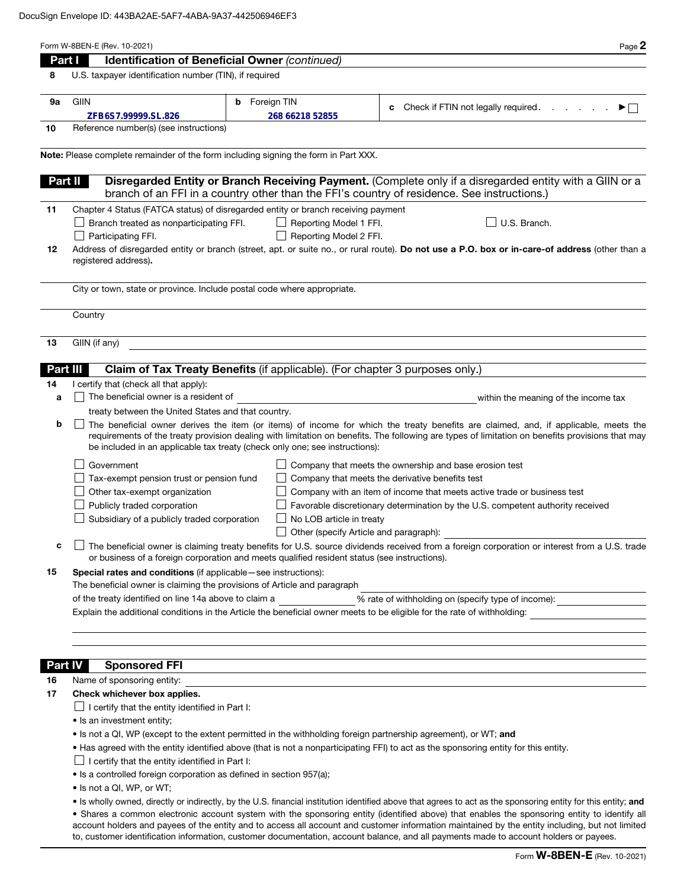|    | Identification of Beneficial Owner (continued)<br>Part I                                                                                                                                                                                                                                                                                                                                                                                 | Page 2                                                                                                                                                                                                                                                                                                  |  |  |  |  |
|----|------------------------------------------------------------------------------------------------------------------------------------------------------------------------------------------------------------------------------------------------------------------------------------------------------------------------------------------------------------------------------------------------------------------------------------------|---------------------------------------------------------------------------------------------------------------------------------------------------------------------------------------------------------------------------------------------------------------------------------------------------------|--|--|--|--|
| 8  | U.S. taxpayer identification number (TIN), if required                                                                                                                                                                                                                                                                                                                                                                                   |                                                                                                                                                                                                                                                                                                         |  |  |  |  |
| 9а | Foreign TIN<br><b>GIIN</b><br>b                                                                                                                                                                                                                                                                                                                                                                                                          |                                                                                                                                                                                                                                                                                                         |  |  |  |  |
|    | ZFB6S7.99999.SL.826<br>268 66218 52855                                                                                                                                                                                                                                                                                                                                                                                                   | Check if FTIN not legally required.<br>and a state<br>▶□<br>c                                                                                                                                                                                                                                           |  |  |  |  |
| 10 | Reference number(s) (see instructions)                                                                                                                                                                                                                                                                                                                                                                                                   |                                                                                                                                                                                                                                                                                                         |  |  |  |  |
|    | Note: Please complete remainder of the form including signing the form in Part XXX.                                                                                                                                                                                                                                                                                                                                                      |                                                                                                                                                                                                                                                                                                         |  |  |  |  |
|    |                                                                                                                                                                                                                                                                                                                                                                                                                                          |                                                                                                                                                                                                                                                                                                         |  |  |  |  |
|    | Disregarded Entity or Branch Receiving Payment. (Complete only if a disregarded entity with a GIIN or a<br>Part II<br>branch of an FFI in a country other than the FFI's country of residence. See instructions.)                                                                                                                                                                                                                        |                                                                                                                                                                                                                                                                                                         |  |  |  |  |
| 11 | Chapter 4 Status (FATCA status) of disregarded entity or branch receiving payment                                                                                                                                                                                                                                                                                                                                                        |                                                                                                                                                                                                                                                                                                         |  |  |  |  |
|    | Branch treated as nonparticipating FFI.<br>Reporting Model 1 FFI.<br>U.S. Branch.                                                                                                                                                                                                                                                                                                                                                        |                                                                                                                                                                                                                                                                                                         |  |  |  |  |
|    | Reporting Model 2 FFI.<br>Participating FFI.                                                                                                                                                                                                                                                                                                                                                                                             |                                                                                                                                                                                                                                                                                                         |  |  |  |  |
|    | Address of disregarded entity or branch (street, apt. or suite no., or rural route). Do not use a P.O. box or in-care-of address (other than a<br>12<br>registered address).                                                                                                                                                                                                                                                             |                                                                                                                                                                                                                                                                                                         |  |  |  |  |
|    | City or town, state or province. Include postal code where appropriate.                                                                                                                                                                                                                                                                                                                                                                  |                                                                                                                                                                                                                                                                                                         |  |  |  |  |
|    | Country                                                                                                                                                                                                                                                                                                                                                                                                                                  |                                                                                                                                                                                                                                                                                                         |  |  |  |  |
| 13 | GIIN (if any)                                                                                                                                                                                                                                                                                                                                                                                                                            |                                                                                                                                                                                                                                                                                                         |  |  |  |  |
|    | Claim of Tax Treaty Benefits (if applicable). (For chapter 3 purposes only.)<br>Part III                                                                                                                                                                                                                                                                                                                                                 |                                                                                                                                                                                                                                                                                                         |  |  |  |  |
| 14 | I certify that (check all that apply):                                                                                                                                                                                                                                                                                                                                                                                                   |                                                                                                                                                                                                                                                                                                         |  |  |  |  |
| a  | The beneficial owner is a resident of                                                                                                                                                                                                                                                                                                                                                                                                    | within the meaning of the income tax                                                                                                                                                                                                                                                                    |  |  |  |  |
|    | treaty between the United States and that country.                                                                                                                                                                                                                                                                                                                                                                                       |                                                                                                                                                                                                                                                                                                         |  |  |  |  |
| b  | The beneficial owner derives the item (or items) of income for which the treaty benefits are claimed, and, if applicable, meets the<br>requirements of the treaty provision dealing with limitation on benefits. The following are types of limitation on benefits provisions that may<br>be included in an applicable tax treaty (check only one; see instructions):                                                                    |                                                                                                                                                                                                                                                                                                         |  |  |  |  |
|    | Government                                                                                                                                                                                                                                                                                                                                                                                                                               | Company that meets the ownership and base erosion test                                                                                                                                                                                                                                                  |  |  |  |  |
|    | Tax-exempt pension trust or pension fund                                                                                                                                                                                                                                                                                                                                                                                                 | Company that meets the derivative benefits test                                                                                                                                                                                                                                                         |  |  |  |  |
|    | Other tax-exempt organization                                                                                                                                                                                                                                                                                                                                                                                                            | Company with an item of income that meets active trade or business test                                                                                                                                                                                                                                 |  |  |  |  |
|    | Publicly traded corporation                                                                                                                                                                                                                                                                                                                                                                                                              | Favorable discretionary determination by the U.S. competent authority received                                                                                                                                                                                                                          |  |  |  |  |
|    | Subsidiary of a publicly traded corporation<br>No LOB article in treaty                                                                                                                                                                                                                                                                                                                                                                  |                                                                                                                                                                                                                                                                                                         |  |  |  |  |
|    | Other (specify Article and paragraph):                                                                                                                                                                                                                                                                                                                                                                                                   |                                                                                                                                                                                                                                                                                                         |  |  |  |  |
| c  | $\perp$ The beneficial owner is claiming treaty benefits for U.S. source dividends received from a foreign corporation or interest from a U.S. trade<br>or business of a foreign corporation and meets qualified resident status (see instructions).                                                                                                                                                                                     |                                                                                                                                                                                                                                                                                                         |  |  |  |  |
| 15 | Special rates and conditions (if applicable – see instructions):                                                                                                                                                                                                                                                                                                                                                                         |                                                                                                                                                                                                                                                                                                         |  |  |  |  |
|    | The beneficial owner is claiming the provisions of Article and paragraph                                                                                                                                                                                                                                                                                                                                                                 |                                                                                                                                                                                                                                                                                                         |  |  |  |  |
|    |                                                                                                                                                                                                                                                                                                                                                                                                                                          | $\frac{1}{2}$ and $\frac{1}{2}$<br>% rate of withholding on (specify type of income): _____________________________<br>of the treaty identified on line 14a above to claim a<br>Explain the additional conditions in the Article the beneficial owner meets to be eligible for the rate of withholding: |  |  |  |  |
|    |                                                                                                                                                                                                                                                                                                                                                                                                                                          |                                                                                                                                                                                                                                                                                                         |  |  |  |  |
|    |                                                                                                                                                                                                                                                                                                                                                                                                                                          |                                                                                                                                                                                                                                                                                                         |  |  |  |  |
|    | <b>Sponsored FFI</b><br><b>Part IV</b>                                                                                                                                                                                                                                                                                                                                                                                                   | <u> 1989 - Johann Stoff, amerikansk politiker (d. 1989)</u>                                                                                                                                                                                                                                             |  |  |  |  |
| 16 | Name of sponsoring entity:<br>The same of sponsoring entity:                                                                                                                                                                                                                                                                                                                                                                             |                                                                                                                                                                                                                                                                                                         |  |  |  |  |
| 17 | Check whichever box applies.<br>$\Box$ I certify that the entity identified in Part I:                                                                                                                                                                                                                                                                                                                                                   |                                                                                                                                                                                                                                                                                                         |  |  |  |  |
|    | • Is an investment entity;                                                                                                                                                                                                                                                                                                                                                                                                               |                                                                                                                                                                                                                                                                                                         |  |  |  |  |
|    | • Is not a QI, WP (except to the extent permitted in the withholding foreign partnership agreement), or WT; and                                                                                                                                                                                                                                                                                                                          |                                                                                                                                                                                                                                                                                                         |  |  |  |  |
|    | • Has agreed with the entity identified above (that is not a nonparticipating FFI) to act as the sponsoring entity for this entity.                                                                                                                                                                                                                                                                                                      |                                                                                                                                                                                                                                                                                                         |  |  |  |  |
|    | $\Box$ I certify that the entity identified in Part I:                                                                                                                                                                                                                                                                                                                                                                                   |                                                                                                                                                                                                                                                                                                         |  |  |  |  |
|    | • Is a controlled foreign corporation as defined in section 957(a);                                                                                                                                                                                                                                                                                                                                                                      |                                                                                                                                                                                                                                                                                                         |  |  |  |  |
|    | • Is not a QI, WP, or WT;                                                                                                                                                                                                                                                                                                                                                                                                                |                                                                                                                                                                                                                                                                                                         |  |  |  |  |
|    | • Is wholly owned, directly or indirectly, by the U.S. financial institution identified above that agrees to act as the sponsoring entity for this entity; and                                                                                                                                                                                                                                                                           |                                                                                                                                                                                                                                                                                                         |  |  |  |  |
|    | • Shares a common electronic account system with the sponsoring entity (identified above) that enables the sponsoring entity to identify all<br>account holders and payees of the entity and to access all account and customer information maintained by the entity including, but not limited<br>to, customer identification information, customer documentation, account balance, and all payments made to account holders or payees. |                                                                                                                                                                                                                                                                                                         |  |  |  |  |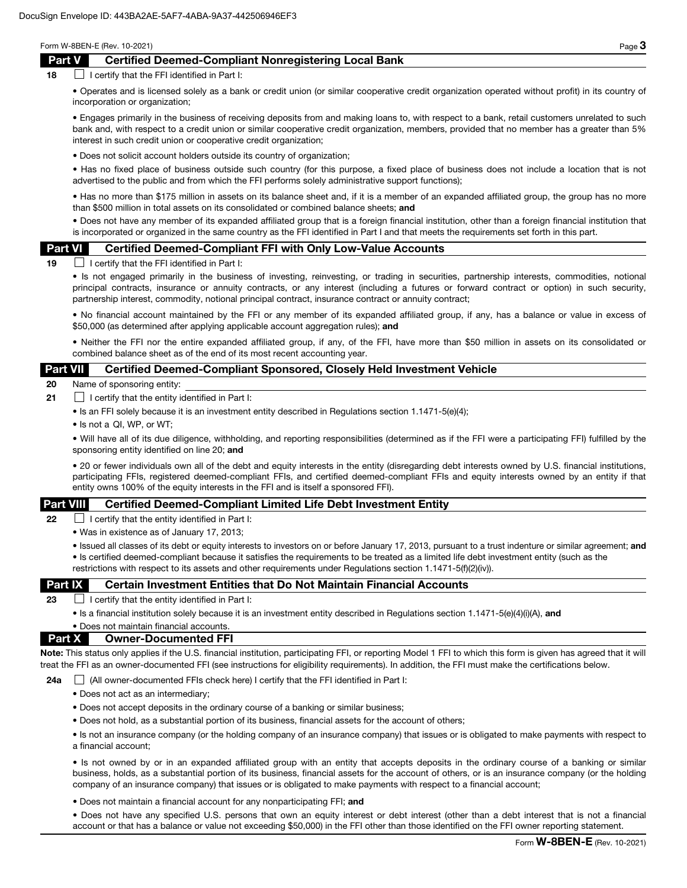## Part V Certified Deemed-Compliant Nonregistering Local Bank

 $18$  I certify that the FFI identified in Part I:

• Operates and is licensed solely as a bank or credit union (or similar cooperative credit organization operated without profit) in its country of incorporation or organization;

• Engages primarily in the business of receiving deposits from and making loans to, with respect to a bank, retail customers unrelated to such bank and, with respect to a credit union or similar cooperative credit organization, members, provided that no member has a greater than 5% interest in such credit union or cooperative credit organization;

• Does not solicit account holders outside its country of organization;

• Has no fixed place of business outside such country (for this purpose, a fixed place of business does not include a location that is not advertised to the public and from which the FFI performs solely administrative support functions);

• Has no more than \$175 million in assets on its balance sheet and, if it is a member of an expanded affiliated group, the group has no more than \$500 million in total assets on its consolidated or combined balance sheets; and

• Does not have any member of its expanded affiliated group that is a foreign financial institution, other than a foreign financial institution that is incorporated or organized in the same country as the FFI identified in Part I and that meets the requirements set forth in this part.

#### Part VI Certified Deemed-Compliant FFI with Only Low-Value Accounts

 $19$  I certify that the FFI identified in Part I:

• Is not engaged primarily in the business of investing, reinvesting, or trading in securities, partnership interests, commodities, notional principal contracts, insurance or annuity contracts, or any interest (including a futures or forward contract or option) in such security, partnership interest, commodity, notional principal contract, insurance contract or annuity contract;

• No financial account maintained by the FFI or any member of its expanded affiliated group, if any, has a balance or value in excess of \$50,000 (as determined after applying applicable account aggregation rules); and

• Neither the FFI nor the entire expanded affiliated group, if any, of the FFI, have more than \$50 million in assets on its consolidated or combined balance sheet as of the end of its most recent accounting year.

### Part VII Certified Deemed-Compliant Sponsored, Closely Held Investment Vehicle

20 Name of sponsoring entity:

- **21**  $\Box$  I certify that the entity identified in Part I:
	- Is an FFI solely because it is an investment entity described in Regulations section 1.1471-5(e)(4);
	- Is not a QI, WP, or WT;

• Will have all of its due diligence, withholding, and reporting responsibilities (determined as if the FFI were a participating FFI) fulfilled by the sponsoring entity identified on line 20; and

• 20 or fewer individuals own all of the debt and equity interests in the entity (disregarding debt interests owned by U.S. financial institutions, participating FFIs, registered deemed-compliant FFIs, and certified deemed-compliant FFIs and equity interests owned by an entity if that entity owns 100% of the equity interests in the FFI and is itself a sponsored FFI).

### Part VIII Certified Deemed-Compliant Limited Life Debt Investment Entity

**22**  $\Box$  I certify that the entity identified in Part I:

• Was in existence as of January 17, 2013;

• Issued all classes of its debt or equity interests to investors on or before January 17, 2013, pursuant to a trust indenture or similar agreement; and • Is certified deemed-compliant because it satisfies the requirements to be treated as a limited life debt investment entity (such as the restrictions with respect to its assets and other requirements under Regulations section 1.1471-5(f)(2)(iv)).

### **Part IX** Certain Investment Entities that Do Not Maintain Financial Accounts

23  $\Box$  I certify that the entity identified in Part I:

• Is a financial institution solely because it is an investment entity described in Regulations section 1.1471-5(e)(4)(i)(A), and

### • Does not maintain financial accounts. Part X Owner-Documented FFI

Note: This status only applies if the U.S. financial institution, participating FFI, or reporting Model 1 FFI to which this form is given has agreed that it will treat the FFI as an owner-documented FFI (see instructions for eligibility requirements). In addition, the FFI must make the certifications below.

24a  $\Box$  (All owner-documented FFIs check here) I certify that the FFI identified in Part I:

- Does not act as an intermediary;
- Does not accept deposits in the ordinary course of a banking or similar business;
- Does not hold, as a substantial portion of its business, financial assets for the account of others;

• Is not an insurance company (or the holding company of an insurance company) that issues or is obligated to make payments with respect to a financial account;

• Is not owned by or in an expanded affiliated group with an entity that accepts deposits in the ordinary course of a banking or similar business, holds, as a substantial portion of its business, financial assets for the account of others, or is an insurance company (or the holding company of an insurance company) that issues or is obligated to make payments with respect to a financial account;

• Does not maintain a financial account for any nonparticipating FFI; and

• Does not have any specified U.S. persons that own an equity interest or debt interest (other than a debt interest that is not a financial account or that has a balance or value not exceeding \$50,000) in the FFI other than those identified on the FFI owner reporting statement.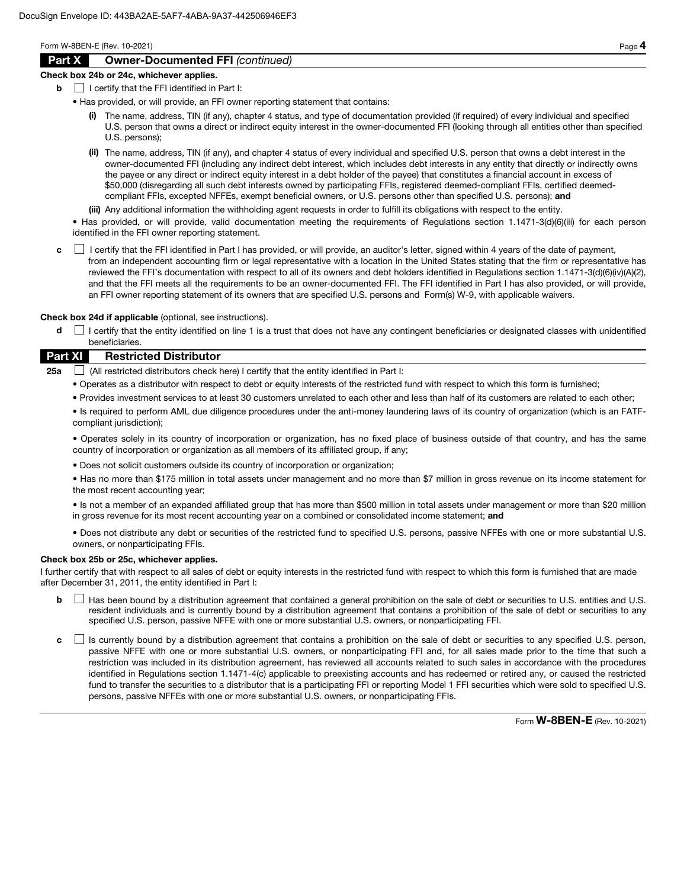## Part X Owner-Documented FFI *(continued)*

#### Check box 24b or 24c, whichever applies.

- $\mathbf{b}$  | I certify that the FFI identified in Part I:
	- Has provided, or will provide, an FFI owner reporting statement that contains:
		- (i) The name, address, TIN (if any), chapter 4 status, and type of documentation provided (if required) of every individual and specified U.S. person that owns a direct or indirect equity interest in the owner-documented FFI (looking through all entities other than specified U.S. persons);
		- (ii) The name, address, TIN (if any), and chapter 4 status of every individual and specified U.S. person that owns a debt interest in the owner-documented FFI (including any indirect debt interest, which includes debt interests in any entity that directly or indirectly owns the payee or any direct or indirect equity interest in a debt holder of the payee) that constitutes a financial account in excess of \$50,000 (disregarding all such debt interests owned by participating FFIs, registered deemed-compliant FFIs, certified deemedcompliant FFIs, excepted NFFEs, exempt beneficial owners, or U.S. persons other than specified U.S. persons); and
		- (iii) Any additional information the withholding agent requests in order to fulfill its obligations with respect to the entity.

• Has provided, or will provide, valid documentation meeting the requirements of Regulations section 1.1471-3(d)(6)(iii) for each person identified in the FFI owner reporting statement.

c **I** certify that the FFI identified in Part I has provided, or will provide, an auditor's letter, signed within 4 years of the date of payment, from an independent accounting firm or legal representative with a location in the United States stating that the firm or representative has reviewed the FFI's documentation with respect to all of its owners and debt holders identified in Regulations section 1.1471-3(d)(6)(iv)(A)(2), and that the FFI meets all the requirements to be an owner-documented FFI. The FFI identified in Part I has also provided, or will provide, an FFI owner reporting statement of its owners that are specified U.S. persons and Form(s) W-9, with applicable waivers.

Check box 24d if applicable (optional, see instructions).

d  $\Box$  I certify that the entity identified on line 1 is a trust that does not have any contingent beneficiaries or designated classes with unidentified beneficiaries.

## Part XI Restricted Distributor

**25a**  $\Box$  (All restricted distributors check here) I certify that the entity identified in Part I:

- Operates as a distributor with respect to debt or equity interests of the restricted fund with respect to which this form is furnished;
- Provides investment services to at least 30 customers unrelated to each other and less than half of its customers are related to each other;

• Is required to perform AML due diligence procedures under the anti-money laundering laws of its country of organization (which is an FATFcompliant jurisdiction);

• Operates solely in its country of incorporation or organization, has no fixed place of business outside of that country, and has the same country of incorporation or organization as all members of its affiliated group, if any;

• Does not solicit customers outside its country of incorporation or organization;

• Has no more than \$175 million in total assets under management and no more than \$7 million in gross revenue on its income statement for the most recent accounting year;

• Is not a member of an expanded affiliated group that has more than \$500 million in total assets under management or more than \$20 million in gross revenue for its most recent accounting year on a combined or consolidated income statement; and

• Does not distribute any debt or securities of the restricted fund to specified U.S. persons, passive NFFEs with one or more substantial U.S. owners, or nonparticipating FFIs.

### Check box 25b or 25c, whichever applies.

I further certify that with respect to all sales of debt or equity interests in the restricted fund with respect to which this form is furnished that are made after December 31, 2011, the entity identified in Part I:

- **b**  $\Box$  Has been bound by a distribution agreement that contained a general prohibition on the sale of debt or securities to U.S. entities and U.S. resident individuals and is currently bound by a distribution agreement that contains a prohibition of the sale of debt or securities to any specified U.S. person, passive NFFE with one or more substantial U.S. owners, or nonparticipating FFI.
- c  $\Box$  Is currently bound by a distribution agreement that contains a prohibition on the sale of debt or securities to any specified U.S. person, passive NFFE with one or more substantial U.S. owners, or nonparticipating FFI and, for all sales made prior to the time that such a restriction was included in its distribution agreement, has reviewed all accounts related to such sales in accordance with the procedures identified in Regulations section 1.1471-4(c) applicable to preexisting accounts and has redeemed or retired any, or caused the restricted fund to transfer the securities to a distributor that is a participating FFI or reporting Model 1 FFI securities which were sold to specified U.S. persons, passive NFFEs with one or more substantial U.S. owners, or nonparticipating FFIs.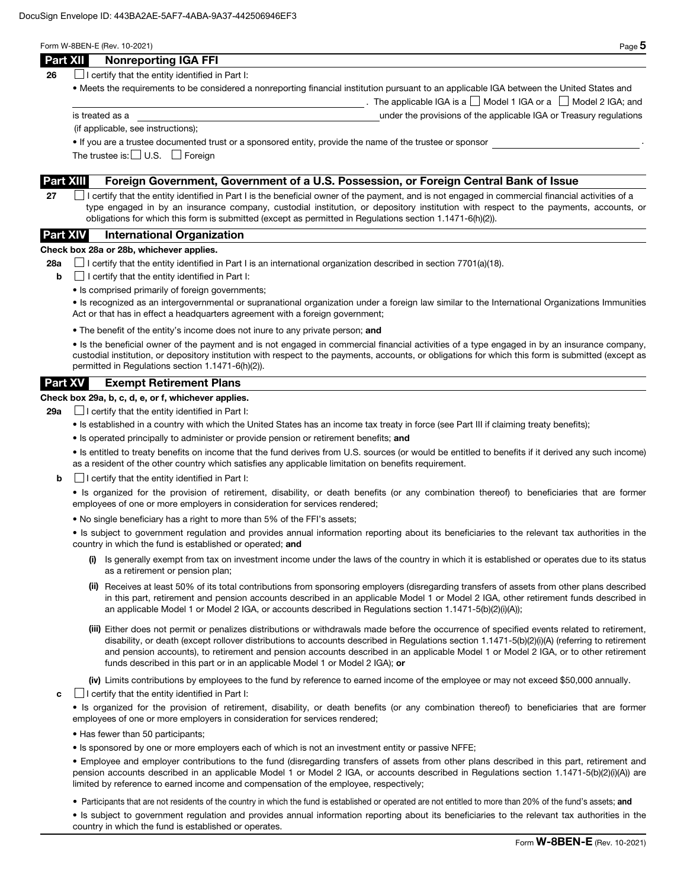|--|--|

The applicable IGA is a  $\Box$  Model 1 IGA or a  $\Box$  Model 2 IGA; and

## Part XII Nonreporting IGA FFI

**26**  $\Box$  I certify that the entity identified in Part I:

• Meets the requirements to be considered a nonreporting financial institution pursuant to an applicable IGA between the United States and

is treated as a under the provisions of the applicable IGA or Treasury regulations

(if applicable, see instructions);

• If you are a trustee documented trust or a sponsored entity, provide the name of the trustee or sponsor .

The trustee is:  $\Box$  U.S.  $\Box$  Foreign

## Part XIII Foreign Government, Government of a U.S. Possession, or Foreign Central Bank of Issue

27 **I** certify that the entity identified in Part I is the beneficial owner of the payment, and is not engaged in commercial financial activities of a type engaged in by an insurance company, custodial institution, or depository institution with respect to the payments, accounts, or obligations for which this form is submitted (except as permitted in Regulations section 1.1471-6(h)(2)).

# Part XIV International Organization

### Check box 28a or 28b, whichever applies.

28a  $\Box$  I certify that the entity identified in Part I is an international organization described in section 7701(a)(18).

- $\mathbf{b}$   $\Box$  I certify that the entity identified in Part I:
	- Is comprised primarily of foreign governments;

• Is recognized as an intergovernmental or supranational organization under a foreign law similar to the International Organizations Immunities Act or that has in effect a headquarters agreement with a foreign government;

• The benefit of the entity's income does not inure to any private person; and

• Is the beneficial owner of the payment and is not engaged in commercial financial activities of a type engaged in by an insurance company, custodial institution, or depository institution with respect to the payments, accounts, or obligations for which this form is submitted (except as permitted in Regulations section 1.1471-6(h)(2)).

## Part XV Exempt Retirement Plans

## Check box 29a, b, c, d, e, or f, whichever applies.

**29a**  $\Box$  I certify that the entity identified in Part I:

- Is established in a country with which the United States has an income tax treaty in force (see Part III if claiming treaty benefits);
- Is operated principally to administer or provide pension or retirement benefits; and

• Is entitled to treaty benefits on income that the fund derives from U.S. sources (or would be entitled to benefits if it derived any such income) as a resident of the other country which satisfies any applicable limitation on benefits requirement.

 $\mathbf{b}$   $\Box$  I certify that the entity identified in Part I:

• Is organized for the provision of retirement, disability, or death benefits (or any combination thereof) to beneficiaries that are former employees of one or more employers in consideration for services rendered;

• No single beneficiary has a right to more than 5% of the FFI's assets;

• Is subject to government regulation and provides annual information reporting about its beneficiaries to the relevant tax authorities in the country in which the fund is established or operated; and

- (i) Is generally exempt from tax on investment income under the laws of the country in which it is established or operates due to its status as a retirement or pension plan;
- (ii) Receives at least 50% of its total contributions from sponsoring employers (disregarding transfers of assets from other plans described in this part, retirement and pension accounts described in an applicable Model 1 or Model 2 IGA, other retirement funds described in an applicable Model 1 or Model 2 IGA, or accounts described in Regulations section 1.1471-5(b)(2)(i)(A));
- (iii) Either does not permit or penalizes distributions or withdrawals made before the occurrence of specified events related to retirement, disability, or death (except rollover distributions to accounts described in Regulations section 1.1471-5(b)(2)(i)(A) (referring to retirement and pension accounts), to retirement and pension accounts described in an applicable Model 1 or Model 2 IGA, or to other retirement funds described in this part or in an applicable Model 1 or Model 2 IGA); or

(iv) Limits contributions by employees to the fund by reference to earned income of the employee or may not exceed \$50,000 annually.

 $\mathbf{c}$   $\Box$  I certify that the entity identified in Part I:

• Is organized for the provision of retirement, disability, or death benefits (or any combination thereof) to beneficiaries that are former employees of one or more employers in consideration for services rendered;

- Has fewer than 50 participants;
- Is sponsored by one or more employers each of which is not an investment entity or passive NFFE;

• Employee and employer contributions to the fund (disregarding transfers of assets from other plans described in this part, retirement and pension accounts described in an applicable Model 1 or Model 2 IGA, or accounts described in Regulations section 1.1471-5(b)(2)(i)(A)) are limited by reference to earned income and compensation of the employee, respectively;

• Participants that are not residents of the country in which the fund is established or operated are not entitled to more than 20% of the fund's assets; and

• Is subject to government regulation and provides annual information reporting about its beneficiaries to the relevant tax authorities in the country in which the fund is established or operates.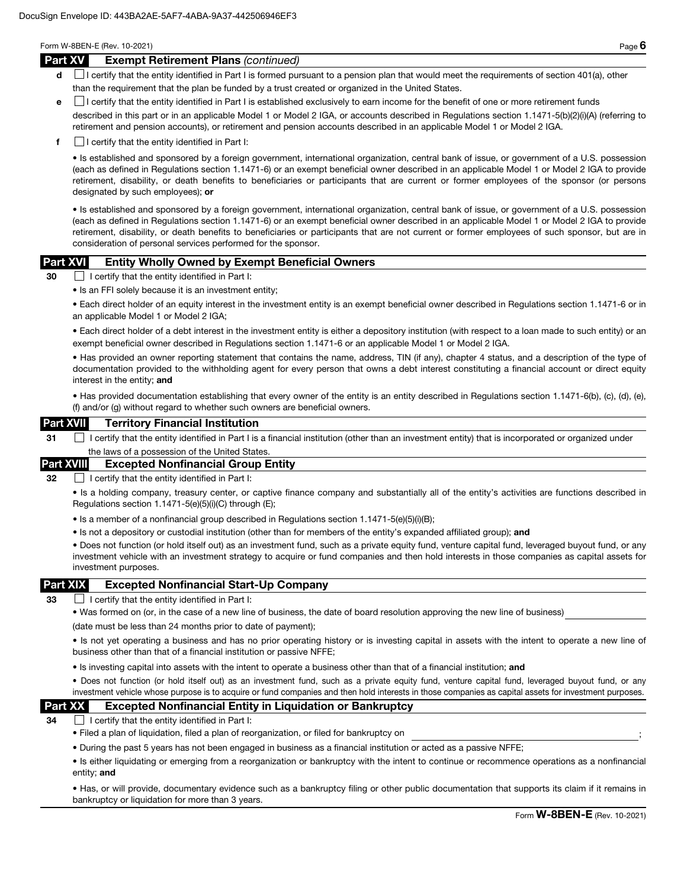#### Part XV Exempt Retirement Plans *(continued)*

- d **I** certify that the entity identified in Part I is formed pursuant to a pension plan that would meet the requirements of section 401(a), other than the requirement that the plan be funded by a trust created or organized in the United States.
- e I certify that the entity identified in Part I is established exclusively to earn income for the benefit of one or more retirement funds

described in this part or in an applicable Model 1 or Model 2 IGA, or accounts described in Regulations section 1.1471-5(b)(2)(i)(A) (referring to retirement and pension accounts), or retirement and pension accounts described in an applicable Model 1 or Model 2 IGA.

 $\mathbf{f}$  I certify that the entity identified in Part I:

• Is established and sponsored by a foreign government, international organization, central bank of issue, or government of a U.S. possession (each as defined in Regulations section 1.1471-6) or an exempt beneficial owner described in an applicable Model 1 or Model 2 IGA to provide retirement, disability, or death benefits to beneficiaries or participants that are current or former employees of the sponsor (or persons designated by such employees); or

• Is established and sponsored by a foreign government, international organization, central bank of issue, or government of a U.S. possession (each as defined in Regulations section 1.1471-6) or an exempt beneficial owner described in an applicable Model 1 or Model 2 IGA to provide retirement, disability, or death benefits to beneficiaries or participants that are not current or former employees of such sponsor, but are in consideration of personal services performed for the sponsor.

## Part XVI Entity Wholly Owned by Exempt Beneficial Owners

30 I certify that the entity identified in Part I:

• Is an FFI solely because it is an investment entity;

• Each direct holder of an equity interest in the investment entity is an exempt beneficial owner described in Regulations section 1.1471-6 or in an applicable Model 1 or Model 2 IGA;

• Each direct holder of a debt interest in the investment entity is either a depository institution (with respect to a loan made to such entity) or an exempt beneficial owner described in Regulations section 1.1471-6 or an applicable Model 1 or Model 2 IGA.

• Has provided an owner reporting statement that contains the name, address, TIN (if any), chapter 4 status, and a description of the type of documentation provided to the withholding agent for every person that owns a debt interest constituting a financial account or direct equity interest in the entity; and

• Has provided documentation establishing that every owner of the entity is an entity described in Regulations section 1.1471-6(b), (c), (d), (e), (f) and/or (g) without regard to whether such owners are beneficial owners.

### Part XVII Territory Financial Institution

31 I certify that the entity identified in Part I is a financial institution (other than an investment entity) that is incorporated or organized under the laws of a possession of the United States

### Part XVIII Excepted Nonfinancial Group Entity

32 **I certify that the entity identified in Part I:** 

• Is a holding company, treasury center, or captive finance company and substantially all of the entity's activities are functions described in Regulations section 1.1471-5(e)(5)(i)(C) through (E);

- Is a member of a nonfinancial group described in Regulations section 1.1471-5(e)(5)(i)(B);
- Is not a depository or custodial institution (other than for members of the entity's expanded affiliated group); and

• Does not function (or hold itself out) as an investment fund, such as a private equity fund, venture capital fund, leveraged buyout fund, or any investment vehicle with an investment strategy to acquire or fund companies and then hold interests in those companies as capital assets for investment purposes.

### Part XIX Excepted Nonfinancial Start-Up Company

33  $\Box$  I certify that the entity identified in Part I:

• Was formed on (or, in the case of a new line of business, the date of board resolution approving the new line of business)

(date must be less than 24 months prior to date of payment);

• Is not yet operating a business and has no prior operating history or is investing capital in assets with the intent to operate a new line of business other than that of a financial institution or passive NFFE;

• Is investing capital into assets with the intent to operate a business other than that of a financial institution; and

• Does not function (or hold itself out) as an investment fund, such as a private equity fund, venture capital fund, leveraged buyout fund, or any investment vehicle whose purpose is to acquire or fund companies and then hold interests in those companies as capital assets for investment purposes.

## Part XX Excepted Nonfinancial Entity in Liquidation or Bankruptcy

 $34$   $\Box$  I certify that the entity identified in Part I:

- Filed a plan of liquidation, filed a plan of reorganization, or filed for bankruptcy on ;
- During the past 5 years has not been engaged in business as a financial institution or acted as a passive NFFE;

• Is either liquidating or emerging from a reorganization or bankruptcy with the intent to continue or recommence operations as a nonfinancial entity; and

• Has, or will provide, documentary evidence such as a bankruptcy filing or other public documentation that supports its claim if it remains in bankruptcy or liquidation for more than 3 years.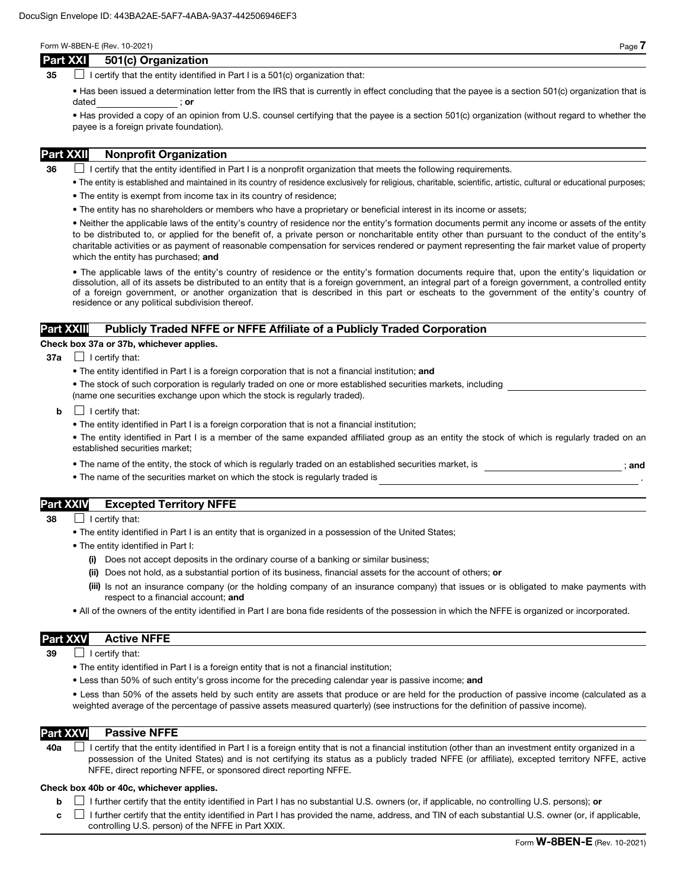## Part XXI 501(c) Organization

35  $\Box$  I certify that the entity identified in Part I is a 501(c) organization that:

• Has been issued a determination letter from the IRS that is currently in effect concluding that the payee is a section 501(c) organization that is dated ; or

• Has provided a copy of an opinion from U.S. counsel certifying that the payee is a section 501(c) organization (without regard to whether the payee is a foreign private foundation).

## Part XXII Nonprofit Organization

 $36$  I certify that the entity identified in Part I is a nonprofit organization that meets the following requirements.

- The entity is established and maintained in its country of residence exclusively for religious, charitable, scientific, artistic, cultural or educational purposes;
- The entity is exempt from income tax in its country of residence;
- The entity has no shareholders or members who have a proprietary or beneficial interest in its income or assets;

• Neither the applicable laws of the entity's country of residence nor the entity's formation documents permit any income or assets of the entity to be distributed to, or applied for the benefit of, a private person or noncharitable entity other than pursuant to the conduct of the entity's charitable activities or as payment of reasonable compensation for services rendered or payment representing the fair market value of property which the entity has purchased; and

• The applicable laws of the entity's country of residence or the entity's formation documents require that, upon the entity's liquidation or dissolution, all of its assets be distributed to an entity that is a foreign government, an integral part of a foreign government, a controlled entity of a foreign government, or another organization that is described in this part or escheats to the government of the entity's country of residence or any political subdivision thereof.

## Part XXIII Publicly Traded NFFE or NFFE Affiliate of a Publicly Traded Corporation

#### Check box 37a or 37b, whichever applies.

- $37a$  | certify that:
	- The entity identified in Part I is a foreign corporation that is not a financial institution; and
	- The stock of such corporation is regularly traded on one or more established securities markets, including (name one securities exchange upon which the stock is regularly traded).
	- $\mathbf{b}$   $\Box$  I certify that:
		- The entity identified in Part I is a foreign corporation that is not a financial institution;
		- The entity identified in Part I is a member of the same expanded affiliated group as an entity the stock of which is regularly traded on an established securities market;
		- The name of the entity, the stock of which is regularly traded on an established securities market, is  $\cdot$  ; and
		- The name of the securities market on which the stock is regularly traded is

# Part XXIV Excepted Territory NFFE

- 38 **I** certify that:
	- The entity identified in Part I is an entity that is organized in a possession of the United States;
	- The entity identified in Part I:
		- (i) Does not accept deposits in the ordinary course of a banking or similar business;
		- (ii) Does not hold, as a substantial portion of its business, financial assets for the account of others; or
		- (iii) Is not an insurance company (or the holding company of an insurance company) that issues or is obligated to make payments with respect to a financial account; and
	- All of the owners of the entity identified in Part I are bona fide residents of the possession in which the NFFE is organized or incorporated.

## Part XXV Active NFFE

 $39$  | I certify that:

- The entity identified in Part I is a foreign entity that is not a financial institution;
- Less than 50% of such entity's gross income for the preceding calendar year is passive income; and

• Less than 50% of the assets held by such entity are assets that produce or are held for the production of passive income (calculated as a weighted average of the percentage of passive assets measured quarterly) (see instructions for the definition of passive income).

### Part XXVI Passive NFFE

40a  $\Box$  I certify that the entity identified in Part I is a foreign entity that is not a financial institution (other than an investment entity organized in a possession of the United States) and is not certifying its status as a publicly traded NFFE (or affiliate), excepted territory NFFE, active NFFE, direct reporting NFFE, or sponsored direct reporting NFFE.

#### Check box 40b or 40c, whichever applies.

**b**  $\Box$  I further certify that the entity identified in Part I has no substantial U.S. owners (or, if applicable, no controlling U.S. persons); or

 $c \perp$  I further certify that the entity identified in Part I has provided the name, address, and TIN of each substantial U.S. owner (or, if applicable, controlling U.S. person) of the NFFE in Part XXIX.